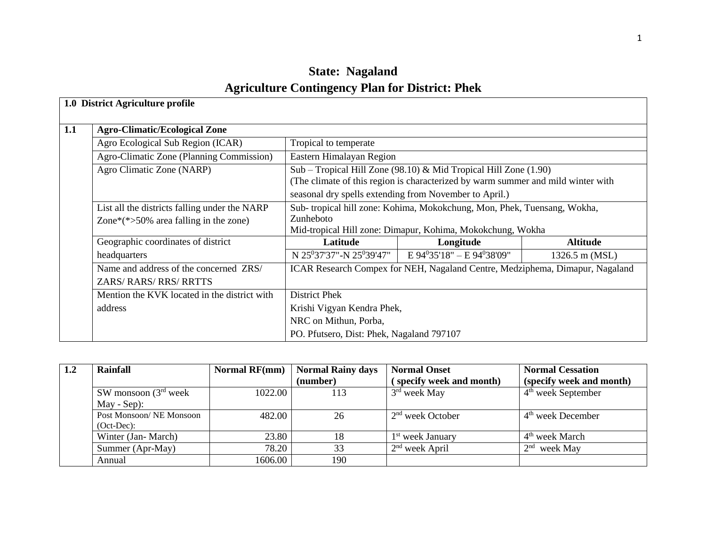# **State: Nagaland Agriculture Contingency Plan for District: Phek**

|     | 1.0 District Agriculture profile              |                                                                                  |                                                                              |                 |  |  |  |
|-----|-----------------------------------------------|----------------------------------------------------------------------------------|------------------------------------------------------------------------------|-----------------|--|--|--|
| 1.1 | <b>Agro-Climatic/Ecological Zone</b>          |                                                                                  |                                                                              |                 |  |  |  |
|     | Agro Ecological Sub Region (ICAR)             | Tropical to temperate                                                            |                                                                              |                 |  |  |  |
|     | Agro-Climatic Zone (Planning Commission)      | Eastern Himalayan Region                                                         |                                                                              |                 |  |  |  |
|     | Agro Climatic Zone (NARP)                     |                                                                                  | Sub - Tropical Hill Zone (98.10) & Mid Tropical Hill Zone (1.90)             |                 |  |  |  |
|     |                                               | (The climate of this region is characterized by warm summer and mild winter with |                                                                              |                 |  |  |  |
|     |                                               | seasonal dry spells extending from November to April.)                           |                                                                              |                 |  |  |  |
|     | List all the districts falling under the NARP |                                                                                  | Sub-tropical hill zone: Kohima, Mokokchung, Mon, Phek, Tuensang, Wokha,      |                 |  |  |  |
|     | Zone $*(*>50\%$ area falling in the zone)     | Zunheboto                                                                        |                                                                              |                 |  |  |  |
|     |                                               |                                                                                  | Mid-tropical Hill zone: Dimapur, Kohima, Mokokchung, Wokha                   |                 |  |  |  |
|     | Geographic coordinates of district            | Latitude                                                                         | Longitude                                                                    | <b>Altitude</b> |  |  |  |
|     | headquarters                                  | N 25 <sup>0</sup> 37'37"-N 25 <sup>0</sup> 39'47"                                | $E 94^035'18" - E 94^038'09"$                                                | 1326.5 m (MSL)  |  |  |  |
|     | Name and address of the concerned ZRS/        |                                                                                  | ICAR Research Compex for NEH, Nagaland Centre, Medziphema, Dimapur, Nagaland |                 |  |  |  |
|     | <b>ZARS/ RARS/ RRS/ RRTTS</b>                 |                                                                                  |                                                                              |                 |  |  |  |
|     | Mention the KVK located in the district with  | <b>District Phek</b>                                                             |                                                                              |                 |  |  |  |
|     | address                                       | Krishi Vigyan Kendra Phek,                                                       |                                                                              |                 |  |  |  |
|     |                                               | NRC on Mithun, Porba,                                                            |                                                                              |                 |  |  |  |
|     |                                               | PO. Pfutsero, Dist: Phek, Nagaland 797107                                        |                                                                              |                 |  |  |  |

| 1.2 | Rainfall                | <b>Normal RF(mm)</b> | <b>Normal Rainy days</b> | <b>Normal Onset</b>          | <b>Normal Cessation</b>    |
|-----|-------------------------|----------------------|--------------------------|------------------------------|----------------------------|
|     |                         |                      | (number)                 | (specify week and month)     | (specify week and month)   |
|     | SW monsoon $(3rd$ week  | 1022.00              | 113                      | $3rd$ week May               | $4th$ week September       |
|     | $May - Sep)$ :          |                      |                          |                              |                            |
|     | Post Monsoon/NE Monsoon | 482.00               | 26                       | $2nd$ week October           | $4th$ week December        |
|     | $(Oct-Dec):$            |                      |                          |                              |                            |
|     | Winter (Jan-March)      | 23.80                | 18                       | 1 <sup>st</sup> week January | 4 <sup>th</sup> week March |
|     | Summer (Apr-May)        | 78.20                | 33                       | $2nd$ week April             | $2nd$ week May             |
|     | Annual                  | 1606.00              | 190                      |                              |                            |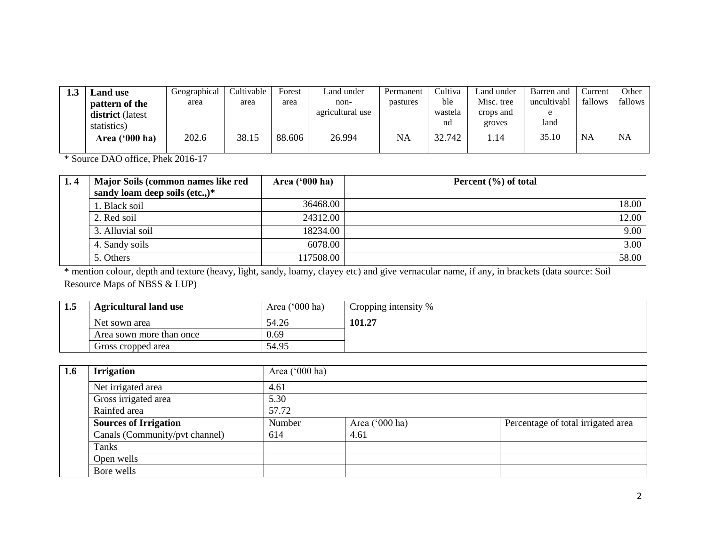| 1.J | Land use                | Geographical | Cultivable | Forest | Land under       | Permanent | Cultiva | Land under | Barren and  | ∠urrent   | Other     |
|-----|-------------------------|--------------|------------|--------|------------------|-----------|---------|------------|-------------|-----------|-----------|
|     | pattern of the          | area         | area       | area   | non-             | pastures  | ble     | Misc. tree | uncultivabl | fallows   | fallows   |
|     | <b>district</b> (latest |              |            |        | agricultural use |           | wastela | crops and  | $\Delta$    |           |           |
|     | statistics)             |              |            |        |                  |           | nd      | groves     | land        |           |           |
|     | Area ('000 ha)          | 202.6        | 38.15      | 88.606 | 26.994           | NA        | 32.742  | .14        | 35.10       | <b>NA</b> | <b>NA</b> |
|     |                         |              |            |        |                  |           |         |            |             |           |           |

\* Source DAO office, Phek 2016-17

| 1.4 | Major Soils (common names like red | Area $(900 \text{ ha})$ | Percent $(\% )$ of total |
|-----|------------------------------------|-------------------------|--------------------------|
|     | sandy loam deep soils (etc.,) $*$  |                         |                          |
|     | 1. Black soil                      | 36468.00                | 18.00                    |
|     | 2. Red soil                        | 24312.00                | 12.00                    |
|     | 3. Alluvial soil                   | 18234.00                | 9.00                     |
|     | 4. Sandy soils                     | 6078.00                 | 3.00                     |
|     | 5. Others                          | 117508.00               | 58.00                    |

\* mention colour, depth and texture (heavy, light, sandy, loamy, clayey etc) and give vernacular name, if any, in brackets (data source: Soil Resource Maps of NBSS & LUP)

| 1.5 | <b>Agricultural land use</b> | Area $('000 ha)$ | Cropping intensity % |
|-----|------------------------------|------------------|----------------------|
|     | Net sown area                | 54.26            | 101.27               |
|     | Area sown more than once     | 0.69             |                      |
|     | Gross cropped area           | 54.95            |                      |

| 1.6 | <b>Irrigation</b>              |        | Area ('000 ha) |                                    |  |  |  |  |  |
|-----|--------------------------------|--------|----------------|------------------------------------|--|--|--|--|--|
|     | Net irrigated area             | 4.61   |                |                                    |  |  |  |  |  |
|     | Gross irrigated area           | 5.30   |                |                                    |  |  |  |  |  |
|     | Rainfed area                   | 57.72  |                |                                    |  |  |  |  |  |
|     | <b>Sources of Irrigation</b>   | Number | Area ('000 ha) | Percentage of total irrigated area |  |  |  |  |  |
|     | Canals (Community/pvt channel) | 614    | 4.61           |                                    |  |  |  |  |  |
|     | Tanks                          |        |                |                                    |  |  |  |  |  |
|     | Open wells                     |        |                |                                    |  |  |  |  |  |
|     | Bore wells                     |        |                |                                    |  |  |  |  |  |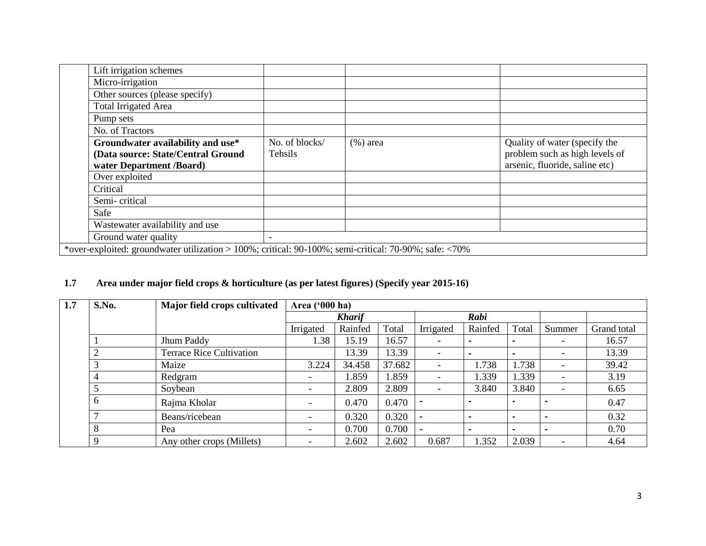| Lift irrigation schemes                                                                               |                |              |                                |  |  |  |  |
|-------------------------------------------------------------------------------------------------------|----------------|--------------|--------------------------------|--|--|--|--|
| Micro-irrigation                                                                                      |                |              |                                |  |  |  |  |
| Other sources (please specify)                                                                        |                |              |                                |  |  |  |  |
| <b>Total Irrigated Area</b>                                                                           |                |              |                                |  |  |  |  |
| Pump sets                                                                                             |                |              |                                |  |  |  |  |
| No. of Tractors                                                                                       |                |              |                                |  |  |  |  |
| Groundwater availability and use*                                                                     | No. of blocks/ | $(\% )$ area | Quality of water (specify the  |  |  |  |  |
| (Data source: State/Central Ground                                                                    | Tehsils        |              | problem such as high levels of |  |  |  |  |
| water Department /Board)                                                                              |                |              | arsenic, fluoride, saline etc) |  |  |  |  |
| Over exploited                                                                                        |                |              |                                |  |  |  |  |
| Critical                                                                                              |                |              |                                |  |  |  |  |
| Semi-critical                                                                                         |                |              |                                |  |  |  |  |
| Safe                                                                                                  |                |              |                                |  |  |  |  |
| Wastewater availability and use                                                                       |                |              |                                |  |  |  |  |
| Ground water quality                                                                                  |                |              |                                |  |  |  |  |
| *over-exploited: groundwater utilization > 100%; critical: 90-100%; semi-critical: 70-90%; safe: <70% |                |              |                                |  |  |  |  |
|                                                                                                       |                |              |                                |  |  |  |  |

## **1.7 Area under major field crops & horticulture (as per latest figures) (Specify year 2015-16)**

| 1.7 | S.No.       | Major field crops cultivated    |                          | Area ('000 ha) |        |                          |                          |                |                          |             |
|-----|-------------|---------------------------------|--------------------------|----------------|--------|--------------------------|--------------------------|----------------|--------------------------|-------------|
|     |             |                                 |                          | <b>Kharif</b>  |        | Rabi                     |                          |                |                          |             |
|     |             |                                 | Irrigated                | Rainfed        | Total  | Irrigated                | Rainfed                  | Total          | Summer                   | Grand total |
|     |             | Jhum Paddy                      | 1.38                     | 15.19          | 16.57  | $\overline{\phantom{a}}$ | $\overline{\phantom{0}}$ |                | $\overline{\phantom{0}}$ | 16.57       |
|     | ◠           | <b>Terrace Rice Cultivation</b> |                          | 13.39          | 13.39  | $\overline{\phantom{a}}$ | $\blacksquare$           |                | $\overline{\phantom{a}}$ | 13.39       |
|     |             | Maize                           | 3.224                    | 34.458         | 37.682 | $\overline{\phantom{a}}$ | 1.738                    | 1.738          | $\overline{\phantom{0}}$ | 39.42       |
|     |             | Redgram                         | -                        | 1.859          | 1.859  | $\overline{\phantom{a}}$ | 1.339                    | 1.339          | -                        | 3.19        |
|     |             | Soybean                         | $\overline{\phantom{0}}$ | 2.809          | 2.809  | $\overline{\phantom{a}}$ | 3.840                    | 3.840          | -                        | 6.65        |
|     | 6           | Rajma Kholar                    |                          | 0.470          | 0.470  | $\overline{\phantom{0}}$ |                          |                |                          | 0.47        |
|     |             | Beans/ricebean                  | $\overline{\phantom{a}}$ | 0.320          | 0.320  |                          | $\overline{\phantom{0}}$ |                |                          | 0.32        |
|     | 8           | Pea                             | -                        | 0.700          | 0.700  | $\overline{\phantom{0}}$ | $\overline{\phantom{0}}$ | $\blacksquare$ |                          | 0.70        |
|     | $\mathbf Q$ | Any other crops (Millets)       | $\overline{\phantom{0}}$ | 2.602          | 2.602  | 0.687                    | 1.352                    | 2.039          | $\overline{\phantom{0}}$ | 4.64        |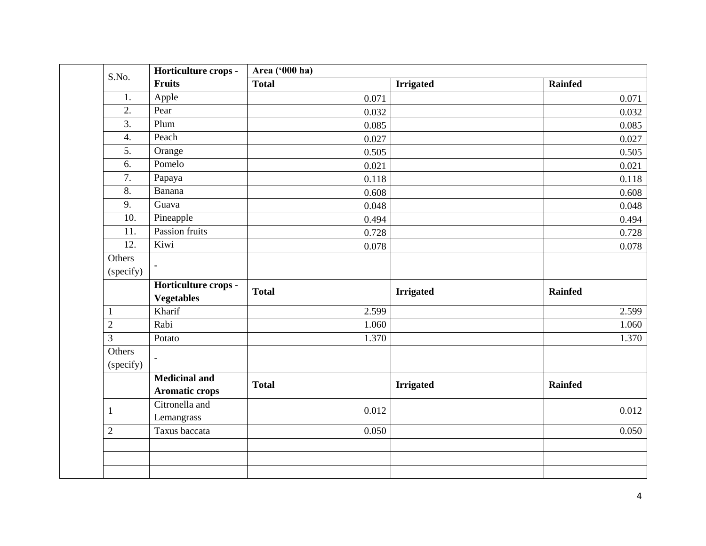| S.No.               | Horticulture crops -                          | Area ('000 ha) |                  |                |
|---------------------|-----------------------------------------------|----------------|------------------|----------------|
|                     | <b>Fruits</b>                                 | <b>Total</b>   | <b>Irrigated</b> | Rainfed        |
| 1.                  | Apple                                         | 0.071          |                  | 0.071          |
| $\overline{2}$ .    | Pear                                          | 0.032          |                  | 0.032          |
| 3.                  | Plum                                          | 0.085          |                  | 0.085          |
| $\overline{4}$ .    | Peach                                         | 0.027          |                  | 0.027          |
| 5.                  | Orange                                        | 0.505          |                  | 0.505          |
| 6.                  | Pomelo                                        | 0.021          |                  | 0.021          |
| 7.                  | Papaya                                        | 0.118          |                  | 0.118          |
| $\overline{8}$ .    | Banana                                        | 0.608          |                  | 0.608          |
| 9.                  | Guava                                         | 0.048          |                  | 0.048          |
| $\overline{10}$ .   | Pineapple                                     | 0.494          |                  | 0.494          |
| 11.                 | Passion fruits                                | 0.728          |                  | 0.728          |
| 12.                 | Kiwi                                          | 0.078          |                  | 0.078          |
| Others<br>(specify) | $\blacksquare$<br>Horticulture crops -        |                |                  |                |
|                     | <b>Vegetables</b>                             | <b>Total</b>   | <b>Irrigated</b> | <b>Rainfed</b> |
| $\mathbf{1}$        | Kharif                                        | 2.599          |                  | 2.599          |
| $\overline{2}$      | Rabi                                          | 1.060          |                  | 1.060          |
| $\overline{3}$      | Potato                                        | 1.370          |                  | 1.370          |
| Others<br>(specify) | $\blacksquare$                                |                |                  |                |
|                     | <b>Medicinal and</b><br><b>Aromatic crops</b> | <b>Total</b>   | <b>Irrigated</b> | <b>Rainfed</b> |
| $\mathbf{1}$        | Citronella and<br>Lemangrass                  | 0.012          |                  | 0.012          |
| $\mathbf{2}$        | Taxus baccata                                 | 0.050          |                  | 0.050          |
|                     |                                               |                |                  |                |
|                     |                                               |                |                  |                |
|                     |                                               |                |                  |                |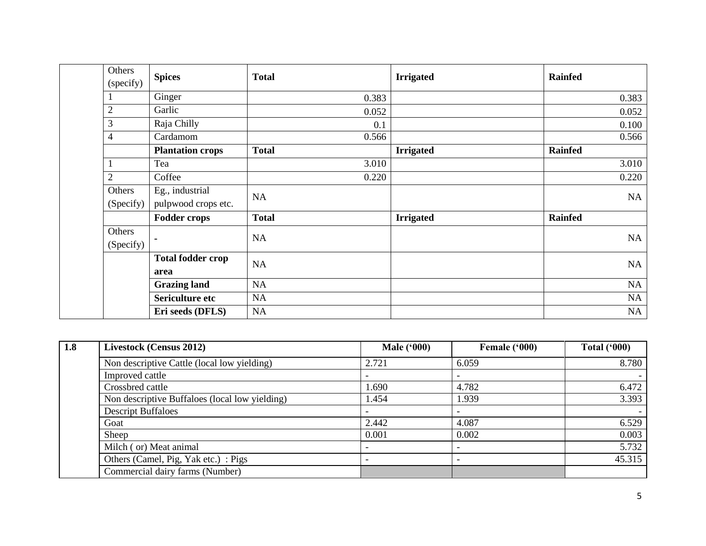| Others         |                          | <b>Total</b> |                  |                |
|----------------|--------------------------|--------------|------------------|----------------|
| (specify)      | <b>Spices</b>            |              | <b>Irrigated</b> | <b>Rainfed</b> |
| 1              | Ginger                   | 0.383        |                  | 0.383          |
| $\mathbf{2}$   | Garlic                   | 0.052        |                  | 0.052          |
| 3              | Raja Chilly              | 0.1          |                  | 0.100          |
| $\overline{4}$ | Cardamom                 | 0.566        |                  | 0.566          |
|                | <b>Plantation crops</b>  | <b>Total</b> | <b>Irrigated</b> | Rainfed        |
| 1              | Tea                      | 3.010        |                  | 3.010          |
| $\mathbf{2}$   | Coffee                   | 0.220        |                  | 0.220          |
| Others         | Eg., industrial          | <b>NA</b>    |                  | NA             |
| (Specify)      | pulpwood crops etc.      |              |                  |                |
|                | <b>Fodder crops</b>      | <b>Total</b> | <b>Irrigated</b> | Rainfed        |
| Others         |                          | <b>NA</b>    |                  | NA             |
| (Specify)      | ٠                        |              |                  |                |
|                | <b>Total fodder crop</b> | <b>NA</b>    |                  | NA             |
|                | area                     |              |                  |                |
|                | <b>Grazing land</b>      | NA           |                  | NA             |
|                | Sericulture etc          | <b>NA</b>    |                  | NA             |
|                | Eri seeds (DFLS)         | NA           |                  | NA             |

| 1.8 | Livestock (Census 2012)                        | <b>Male ('000)</b>       | Female ('000) | <b>Total ('000)</b> |
|-----|------------------------------------------------|--------------------------|---------------|---------------------|
|     | Non descriptive Cattle (local low yielding)    | 2.721                    | 6.059         | 8.780               |
|     | Improved cattle                                |                          |               |                     |
|     | Crossbred cattle                               | 1.690                    | 4.782         | 6.472               |
|     | Non descriptive Buffaloes (local low yielding) | 1.454                    | 1.939         | 3.393               |
|     | <b>Descript Buffaloes</b>                      |                          |               |                     |
|     | Goat                                           | 2.442                    | 4.087         | 6.529               |
|     | Sheep                                          | 0.001                    | 0.002         | 0.003               |
|     | Milch (or) Meat animal                         | $\overline{\phantom{a}}$ |               | 5.732               |
|     | Others (Camel, Pig, Yak etc.) : Pigs           |                          |               | 45.315              |
|     | Commercial dairy farms (Number)                |                          |               |                     |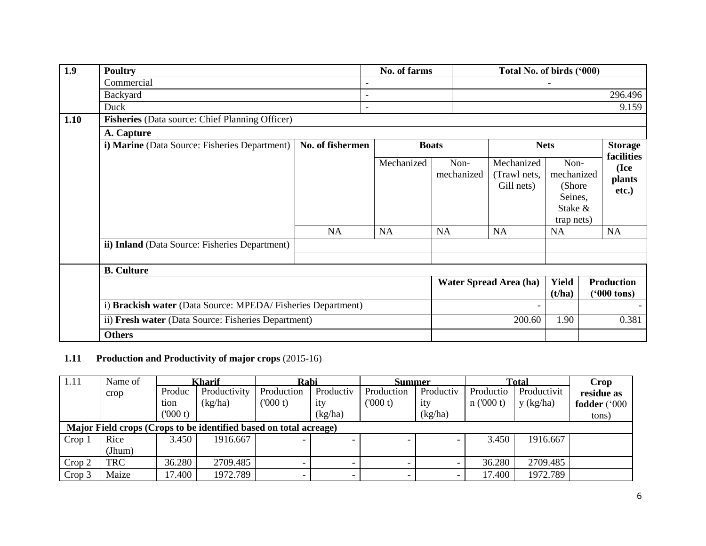| $\overline{1.9}$ | <b>Poultry</b>                                              |                  | No. of farms             |                                 | Total No. of birds ('000)                             |                                                                               |                                                    |
|------------------|-------------------------------------------------------------|------------------|--------------------------|---------------------------------|-------------------------------------------------------|-------------------------------------------------------------------------------|----------------------------------------------------|
|                  | Commercial                                                  |                  |                          |                                 |                                                       |                                                                               |                                                    |
|                  | Backyard                                                    |                  |                          |                                 |                                                       |                                                                               | 296.496                                            |
|                  | Duck                                                        |                  | $\overline{\phantom{a}}$ |                                 |                                                       |                                                                               | 9.159                                              |
| 1.10             | <b>Fisheries</b> (Data source: Chief Planning Officer)      |                  |                          |                                 |                                                       |                                                                               |                                                    |
|                  | A. Capture                                                  |                  |                          |                                 |                                                       |                                                                               |                                                    |
|                  | i) Marine (Data Source: Fisheries Department)               | No. of fishermen |                          | <b>Boats</b>                    |                                                       | <b>Nets</b>                                                                   | <b>Storage</b>                                     |
|                  | ii) Inland (Data Source: Fisheries Department)              | NA               | Mechanized<br>NA         | Non-<br>mechanized<br><b>NA</b> | Mechanized<br>(Trawl nets,<br>Gill nets)<br><b>NA</b> | Non-<br>mechanized<br>(Shore<br>Seines,<br>Stake &<br>trap nets)<br><b>NA</b> | facilities<br>(Ice<br>plants<br>etc.)<br><b>NA</b> |
|                  | <b>B.</b> Culture                                           |                  |                          |                                 |                                                       |                                                                               |                                                    |
|                  |                                                             |                  |                          |                                 | <b>Water Spread Area (ha)</b>                         | <b>Yield</b><br>(t/ha)                                                        | <b>Production</b><br>$(900 \text{ tons})$          |
|                  | i) Brackish water (Data Source: MPEDA/Fisheries Department) |                  |                          |                                 |                                                       |                                                                               |                                                    |
|                  | ii) Fresh water (Data Source: Fisheries Department)         |                  |                          |                                 | 200.60                                                | 1.90                                                                          | 0.381                                              |
|                  | <b>Others</b>                                               |                  |                          |                                 |                                                       |                                                                               |                                                    |

# **1.11 Production and Productivity of major crops** (2015-16)

| 1.11              | Name of    | Kharif  |                                                                   | Rabi       |                          | Summer     |           | <b>Total</b> |             | Crop         |
|-------------------|------------|---------|-------------------------------------------------------------------|------------|--------------------------|------------|-----------|--------------|-------------|--------------|
|                   | crop       | Produc  | Productivity                                                      | Production | Productiv                | Production | Productiv | Productio    | Productivit | residue as   |
|                   |            | tion    | (kg/ha)                                                           | (000 t)    | ity                      | (000 t)    | ity       | n(000 t)     | y (kg/ha)   | fodder ('000 |
|                   |            | (000 t) |                                                                   |            | (kg/ha)                  |            | (kg/ha)   |              |             | tons)        |
|                   |            |         | Major Field crops (Crops to be identified based on total acreage) |            |                          |            |           |              |             |              |
| Crop <sub>1</sub> | Rice       | 3.450   | 1916.667                                                          |            | $\overline{\phantom{0}}$ |            |           | 3.450        | 1916.667    |              |
|                   | (Jhum)     |         |                                                                   |            |                          |            |           |              |             |              |
| Crop 2            | <b>TRC</b> | 36.280  | 2709.485                                                          |            |                          |            |           | 36.280       | 2709.485    |              |
| Crop 3            | Maize      | 17.400  | 1972.789                                                          |            |                          |            |           | 17.400       | 1972.789    |              |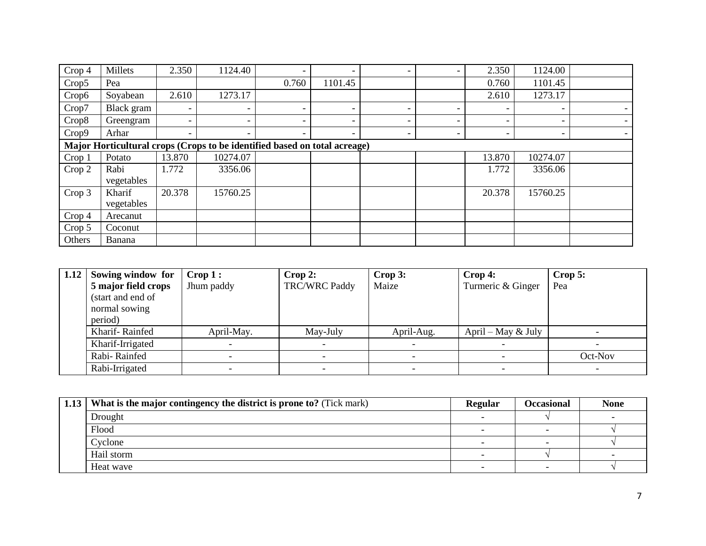| Crop 4 | Millets              | 2.350                    | 1124.40                                                                   | $\overline{\phantom{0}}$ | $\overline{\phantom{a}}$ | $\overline{\phantom{0}}$ | -                        | 2.350                    | 1124.00                  |  |
|--------|----------------------|--------------------------|---------------------------------------------------------------------------|--------------------------|--------------------------|--------------------------|--------------------------|--------------------------|--------------------------|--|
| Crop5  | Pea                  |                          |                                                                           | 0.760                    | 1101.45                  |                          |                          | 0.760                    | 1101.45                  |  |
| Crop6  | Soyabean             | 2.610                    | 1273.17                                                                   |                          |                          |                          |                          | 2.610                    | 1273.17                  |  |
| Crop7  | Black gram           | $\overline{\phantom{0}}$ | $\overline{\phantom{a}}$                                                  | -                        | $\overline{\phantom{a}}$ | $\overline{\phantom{0}}$ | $\overline{\phantom{0}}$ | $\overline{\phantom{a}}$ | $\overline{\phantom{a}}$ |  |
| Crop8  | Greengram            | $\overline{\phantom{0}}$ | $\overline{\phantom{0}}$                                                  | -                        | $\overline{\phantom{a}}$ | $\qquad \qquad$          | $\overline{\phantom{0}}$ | $\overline{\phantom{a}}$ |                          |  |
| Crop9  | Arhar                | $\qquad \qquad -$        | $\overline{\phantom{a}}$                                                  | -                        | $\overline{\phantom{a}}$ | $\qquad \qquad -$        | -                        | $\overline{\phantom{a}}$ | $\overline{\phantom{a}}$ |  |
|        |                      |                          | Major Horticultural crops (Crops to be identified based on total acreage) |                          |                          |                          |                          |                          |                          |  |
| Crop 1 | Potato               | 13.870                   | 10274.07                                                                  |                          |                          |                          |                          | 13.870                   | 10274.07                 |  |
| Crop 2 | Rabi<br>vegetables   | 1.772                    | 3356.06                                                                   |                          |                          |                          |                          | 1.772                    | 3356.06                  |  |
| Crop 3 | Kharif<br>vegetables | 20.378                   | 15760.25                                                                  |                          |                          |                          |                          | 20.378                   | 15760.25                 |  |
| Crop 4 | Arecanut             |                          |                                                                           |                          |                          |                          |                          |                          |                          |  |
| Crop 5 | Coconut              |                          |                                                                           |                          |                          |                          |                          |                          |                          |  |
| Others | Banana               |                          |                                                                           |                          |                          |                          |                          |                          |                          |  |

| 1.12 | Sowing window for   | $\mathbf{Crop}\mathbf{1}:$ | Crop 2:              | Crop 3:    | $\bf{Crop 4:}$       | Crop 5: |
|------|---------------------|----------------------------|----------------------|------------|----------------------|---------|
|      | 5 major field crops | Jhum paddy                 | <b>TRC/WRC Paddy</b> | Maize      | Turmeric & Ginger    | Pea     |
|      | (start and end of   |                            |                      |            |                      |         |
|      | normal sowing       |                            |                      |            |                      |         |
|      | period)             |                            |                      |            |                      |         |
|      | Kharif-Rainfed      | April-May.                 | May-July             | April-Aug. | April – May $&$ July |         |
|      | Kharif-Irrigated    |                            |                      |            |                      |         |
|      | Rabi-Rainfed        |                            |                      |            |                      | Oct-Nov |
|      | Rabi-Irrigated      |                            |                      |            |                      |         |

| 1.13   What is the major contingency the district is prone to? (Tick mark) | Regular | Occasional | <b>None</b> |
|----------------------------------------------------------------------------|---------|------------|-------------|
| Drought                                                                    |         |            |             |
| Flood                                                                      |         | -          |             |
| Cyclone                                                                    |         | -          |             |
| Hail storm                                                                 |         |            |             |
| Heat wave                                                                  |         |            |             |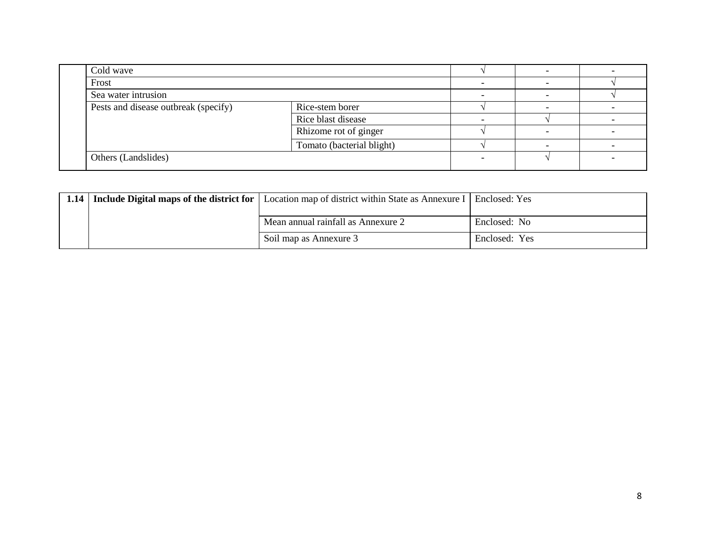| Cold wave                            |                           |  |  |  |
|--------------------------------------|---------------------------|--|--|--|
| Frost                                |                           |  |  |  |
| Sea water intrusion                  |                           |  |  |  |
| Pests and disease outbreak (specify) | Rice-stem borer           |  |  |  |
|                                      | Rice blast disease        |  |  |  |
|                                      | Rhizome rot of ginger     |  |  |  |
|                                      | Tomato (bacterial blight) |  |  |  |
| Others (Landslides)                  |                           |  |  |  |
|                                      |                           |  |  |  |

| 1.14   Include Digital maps of the district for | Location map of district within State as Annexure I   Enclosed: Yes |               |
|-------------------------------------------------|---------------------------------------------------------------------|---------------|
|                                                 |                                                                     |               |
|                                                 | Mean annual rainfall as Annexure 2                                  | Enclosed: No  |
|                                                 | Soil map as Annexure 3                                              | Enclosed: Yes |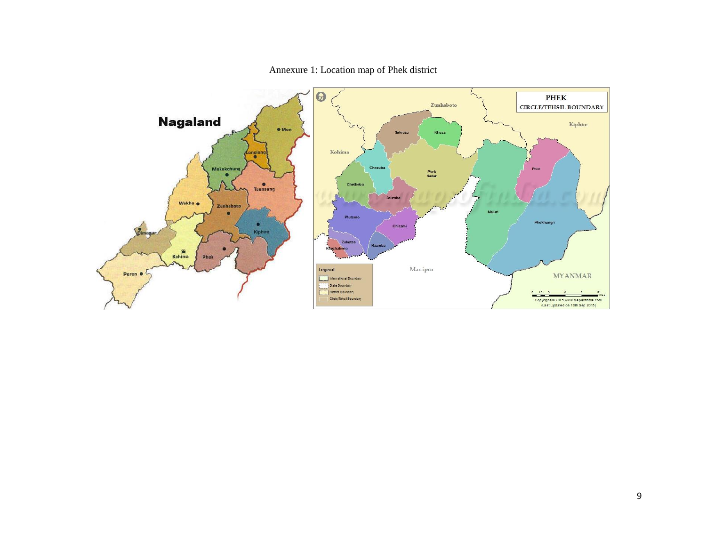

## Annexure 1: Location map of Phek district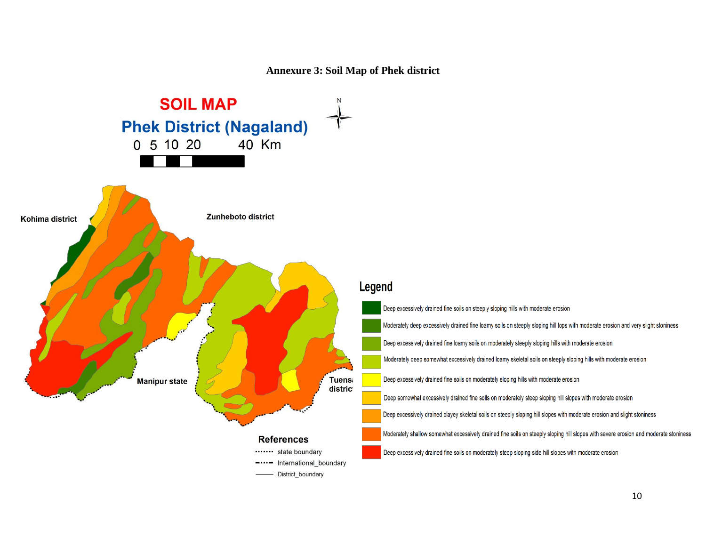## **Annexure 3: Soil Map of Phek district**

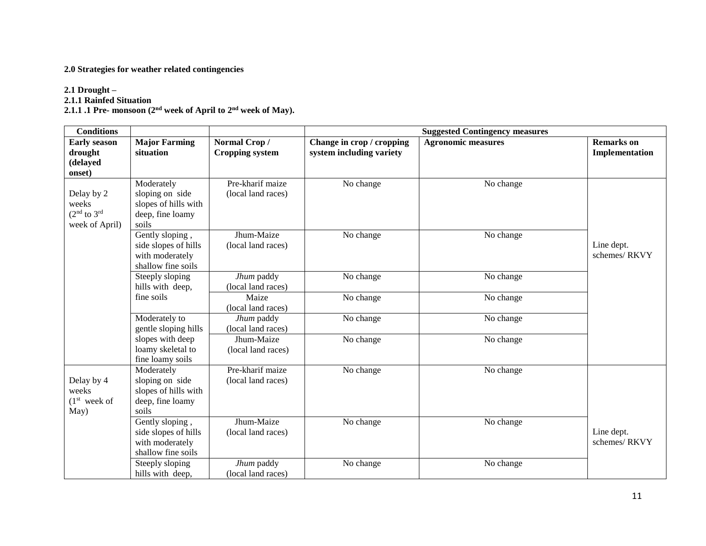## **2.0 Strategies for weather related contingencies**

## **2.1 Drought –**

**2.1.1 Rainfed Situation**

**2.1.1 .1 Pre- monsoon (2 nd week of April to 2 nd week of May).**

| <b>Conditions</b>                                                              |                                                                                    |                                        |                                                       | <b>Suggested Contingency measures</b> |                                     |
|--------------------------------------------------------------------------------|------------------------------------------------------------------------------------|----------------------------------------|-------------------------------------------------------|---------------------------------------|-------------------------------------|
| <b>Early season</b><br>drought<br>(delayed<br>onset)                           | <b>Major Farming</b><br>situation                                                  | Normal Crop/<br><b>Cropping system</b> | Change in crop / cropping<br>system including variety | <b>Agronomic measures</b>             | <b>Remarks</b> on<br>Implementation |
| Delay by 2<br>weeks<br>(2 <sup>nd</sup> to 3 <sup>rd</sup> )<br>week of April) | Moderately<br>sloping on side<br>slopes of hills with<br>deep, fine loamy<br>soils | Pre-kharif maize<br>(local land races) | No change                                             | No change                             |                                     |
|                                                                                | Gently sloping,<br>side slopes of hills<br>with moderately<br>shallow fine soils   | Jhum-Maize<br>(local land races)       | No change                                             | No change                             | Line dept.<br>schemes/RKVY          |
|                                                                                | Steeply sloping<br>hills with deep,                                                | Jhum paddy<br>(local land races)       | No change                                             | No change                             |                                     |
|                                                                                | fine soils                                                                         | Maize<br>(local land races)            | No change                                             | No change                             |                                     |
|                                                                                | Moderately to<br>gentle sloping hills                                              | Jhum paddy<br>(local land races)       | No change                                             | No change                             |                                     |
|                                                                                | slopes with deep<br>loamy skeletal to<br>fine loamy soils                          | Jhum-Maize<br>(local land races)       | No change                                             | No change                             |                                     |
| Delay by 4<br>weeks<br>(1 <sup>st</sup> week of<br>May)                        | Moderately<br>sloping on side<br>slopes of hills with<br>deep, fine loamy<br>soils | Pre-kharif maize<br>(local land races) | No change                                             | No change                             |                                     |
|                                                                                | Gently sloping,<br>side slopes of hills<br>with moderately<br>shallow fine soils   | Jhum-Maize<br>(local land races)       | No change                                             | No change                             | Line dept.<br>schemes/RKVY          |
|                                                                                | Steeply sloping<br>hills with deep,                                                | Jhum paddy<br>(local land races)       | No change                                             | No change                             |                                     |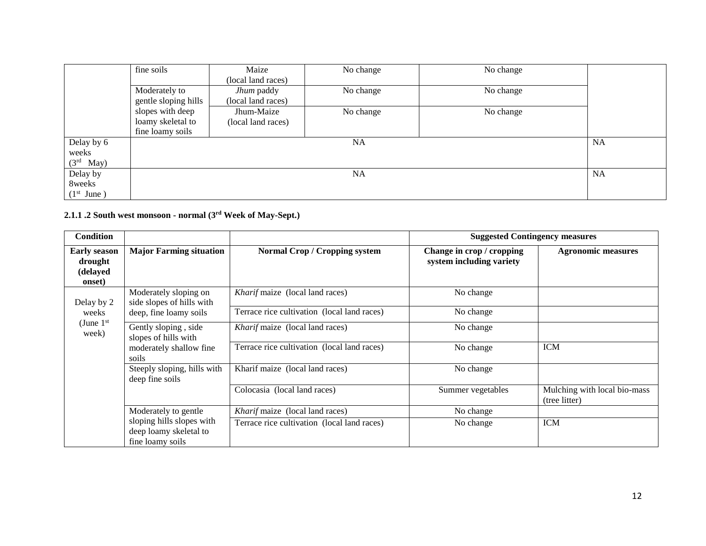|                             | fine soils           | Maize              | No change | No change |           |
|-----------------------------|----------------------|--------------------|-----------|-----------|-----------|
|                             |                      | (local land races) |           |           |           |
|                             | Moderately to        | Jhum paddy         | No change | No change |           |
|                             | gentle sloping hills | (local land races) |           |           |           |
|                             | slopes with deep     | Jhum-Maize         | No change | No change |           |
|                             | loamy skeletal to    | (local land races) |           |           |           |
|                             | fine loamy soils     |                    |           |           |           |
| Delay by 6                  |                      |                    | <b>NA</b> |           | <b>NA</b> |
| weeks                       |                      |                    |           |           |           |
| $(3rd$ May)                 |                      |                    |           |           |           |
| Delay by                    |                      |                    | <b>NA</b> |           | <b>NA</b> |
| 8weeks                      |                      |                    |           |           |           |
| (1 <sup>st</sup> )<br>June) |                      |                    |           |           |           |

**2.1.1 .2 South west monsoon - normal (3 rd Week of May-Sept.)**

| <b>Condition</b>                                     |                                                                         |                                             | <b>Suggested Contingency measures</b>                 |                                               |
|------------------------------------------------------|-------------------------------------------------------------------------|---------------------------------------------|-------------------------------------------------------|-----------------------------------------------|
| <b>Early season</b><br>drought<br>(delayed<br>onset) | <b>Major Farming situation</b>                                          | <b>Normal Crop / Cropping system</b>        | Change in crop / cropping<br>system including variety | <b>Agronomic measures</b>                     |
| Delay by 2                                           | Moderately sloping on<br>side slopes of hills with                      | Kharif maize (local land races)             | No change                                             |                                               |
| weeks                                                | deep, fine loamy soils                                                  | Terrace rice cultivation (local land races) | No change                                             |                                               |
| (June $1st$<br>week)                                 | Gently sloping, side<br>slopes of hills with                            | <i>Kharif</i> maize (local land races)      | No change                                             |                                               |
|                                                      | moderately shallow fine<br>soils                                        | Terrace rice cultivation (local land races) | No change                                             | <b>ICM</b>                                    |
|                                                      | Steeply sloping, hills with<br>deep fine soils                          | Kharif maize (local land races)             | No change                                             |                                               |
|                                                      |                                                                         | Colocasia (local land races)                | Summer vegetables                                     | Mulching with local bio-mass<br>(tree litter) |
|                                                      | Moderately to gentle                                                    | Kharif maize (local land races)             | No change                                             |                                               |
|                                                      | sloping hills slopes with<br>deep loamy skeletal to<br>fine loamy soils | Terrace rice cultivation (local land races) | No change                                             | <b>ICM</b>                                    |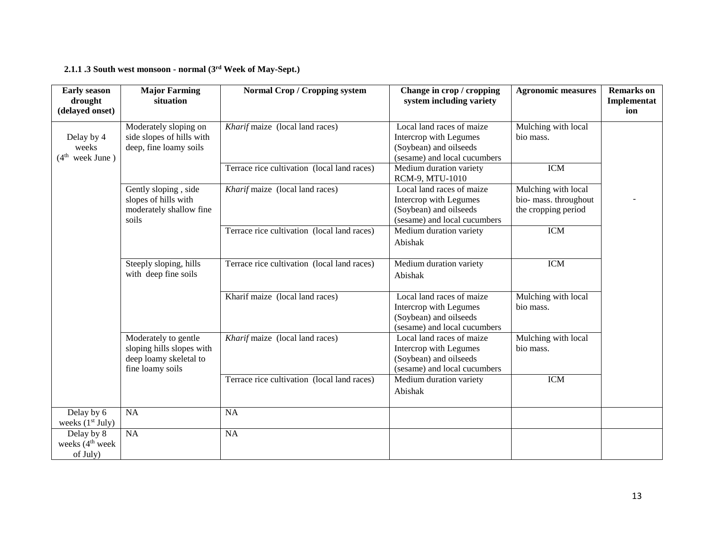#### **2.1.1 .3 South west monsoon - normal (3 rd Week of May-Sept.)**

| <b>Early season</b><br>drought<br>(delayed onset)     | <b>Major Farming</b><br>situation                                                               | <b>Normal Crop / Cropping system</b>        | Change in crop / cropping<br>system including variety                                                         | <b>Agronomic measures</b>                                           | <b>Remarks</b> on<br>Implementat<br>ion |
|-------------------------------------------------------|-------------------------------------------------------------------------------------------------|---------------------------------------------|---------------------------------------------------------------------------------------------------------------|---------------------------------------------------------------------|-----------------------------------------|
| Delay by 4<br>weeks<br>(4 <sup>th</sup> week June)    | Moderately sloping on<br>side slopes of hills with<br>deep, fine loamy soils                    | Kharif maize (local land races)             | Local land races of maize<br>Intercrop with Legumes<br>(Soybean) and oilseeds<br>(sesame) and local cucumbers | Mulching with local<br>bio mass.                                    |                                         |
|                                                       |                                                                                                 | Terrace rice cultivation (local land races) | Medium duration variety<br>RCM-9, MTU-1010                                                                    | <b>ICM</b>                                                          |                                         |
|                                                       | Gently sloping, side<br>slopes of hills with<br>moderately shallow fine<br>soils                | Kharif maize (local land races)             | Local land races of maize<br>Intercrop with Legumes<br>(Soybean) and oilseeds<br>(sesame) and local cucumbers | Mulching with local<br>bio- mass. throughout<br>the cropping period |                                         |
|                                                       |                                                                                                 | Terrace rice cultivation (local land races) | Medium duration variety<br>Abishak                                                                            | <b>ICM</b>                                                          |                                         |
|                                                       | Steeply sloping, hills<br>with deep fine soils                                                  | Terrace rice cultivation (local land races) | Medium duration variety<br>Abishak                                                                            | <b>ICM</b>                                                          |                                         |
|                                                       |                                                                                                 | Kharif maize (local land races)             | Local land races of maize<br>Intercrop with Legumes<br>(Soybean) and oilseeds<br>(sesame) and local cucumbers | Mulching with local<br>bio mass.                                    |                                         |
|                                                       | Moderately to gentle<br>sloping hills slopes with<br>deep loamy skeletal to<br>fine loamy soils | Kharif maize (local land races)             | Local land races of maize<br>Intercrop with Legumes<br>(Soybean) and oilseeds<br>(sesame) and local cucumbers | Mulching with local<br>bio mass.                                    |                                         |
|                                                       |                                                                                                 | Terrace rice cultivation (local land races) | Medium duration variety<br>Abishak                                                                            | <b>ICM</b>                                                          |                                         |
| Delay by 6<br>weeks $(1st July)$                      | <b>NA</b>                                                                                       | <b>NA</b>                                   |                                                                                                               |                                                                     |                                         |
| Delay by 8<br>weeks (4 <sup>th</sup> week<br>of July) | $\overline{NA}$                                                                                 | <b>NA</b>                                   |                                                                                                               |                                                                     |                                         |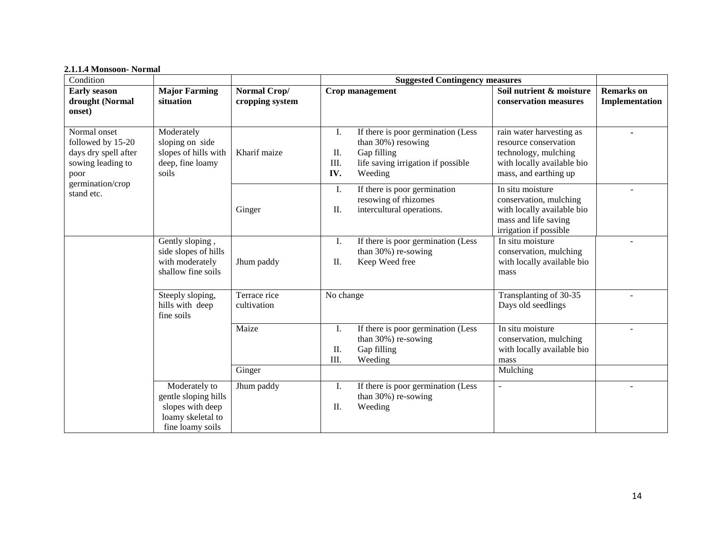#### **2.1.1.4 Monsoon- Normal**

| Condition                                                                              |                                                                                                    |                                 | <b>Suggested Contingency measures</b>                                                                                                               |                                                                                                                                  |                                     |
|----------------------------------------------------------------------------------------|----------------------------------------------------------------------------------------------------|---------------------------------|-----------------------------------------------------------------------------------------------------------------------------------------------------|----------------------------------------------------------------------------------------------------------------------------------|-------------------------------------|
| <b>Early season</b><br>drought (Normal<br>onset)                                       | <b>Major Farming</b><br>situation                                                                  | Normal Crop/<br>cropping system | Crop management                                                                                                                                     | Soil nutrient & moisture<br>conservation measures                                                                                | <b>Remarks</b> on<br>Implementation |
| Normal onset<br>followed by 15-20<br>days dry spell after<br>sowing leading to<br>poor | Moderately<br>sloping on side<br>slopes of hills with<br>deep, fine loamy<br>soils                 | Kharif maize                    | If there is poor germination (Less<br>Ι.<br>than 30%) resowing<br>Gap filling<br>П.<br>III.<br>life saving irrigation if possible<br>IV.<br>Weeding | rain water harvesting as<br>resource conservation<br>technology, mulching<br>with locally available bio<br>mass, and earthing up |                                     |
| germination/crop<br>stand etc.                                                         |                                                                                                    | Ginger                          | If there is poor germination<br>Ι.<br>resowing of rhizomes<br>intercultural operations.<br>II.                                                      | In situ moisture<br>conservation, mulching<br>with locally available bio<br>mass and life saving<br>irrigation if possible       |                                     |
|                                                                                        | Gently sloping,<br>side slopes of hills<br>with moderately<br>shallow fine soils                   | Jhum paddy                      | I.<br>If there is poor germination (Less<br>than 30%) re-sowing<br>Keep Weed free<br>II.                                                            | In situ moisture<br>conservation, mulching<br>with locally available bio<br>mass                                                 |                                     |
|                                                                                        | Steeply sloping,<br>hills with deep<br>fine soils                                                  | Terrace rice<br>cultivation     | No change                                                                                                                                           | Transplanting of 30-35<br>Days old seedlings                                                                                     |                                     |
|                                                                                        |                                                                                                    | Maize<br>Ginger                 | If there is poor germination (Less<br>Ι.<br>than 30%) re-sowing<br>Gap filling<br>П.<br>III.<br>Weeding                                             | In situ moisture<br>conservation, mulching<br>with locally available bio<br>mass<br>Mulching                                     |                                     |
|                                                                                        | Moderately to<br>gentle sloping hills<br>slopes with deep<br>loamy skeletal to<br>fine loamy soils | Jhum paddy                      | If there is poor germination (Less<br>Ι.<br>than 30%) re-sowing<br>Weeding<br>II.                                                                   | ÷                                                                                                                                |                                     |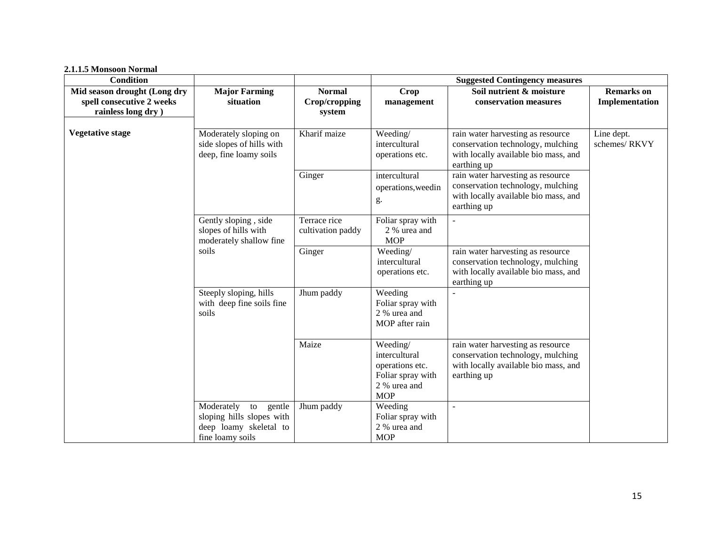**2.1.1.5 Monsoon Normal** 

| <b>Condition</b>             |                                                                                                    |                                   |                                                                                                 | <b>Suggested Contingency measures</b>                                                                                         |                            |
|------------------------------|----------------------------------------------------------------------------------------------------|-----------------------------------|-------------------------------------------------------------------------------------------------|-------------------------------------------------------------------------------------------------------------------------------|----------------------------|
| Mid season drought (Long dry | <b>Major Farming</b>                                                                               | <b>Normal</b>                     | <b>Crop</b>                                                                                     | Soil nutrient & moisture                                                                                                      | <b>Remarks</b> on          |
| spell consecutive 2 weeks    | situation                                                                                          | Crop/cropping                     | management                                                                                      | conservation measures                                                                                                         | Implementation             |
| rainless long dry )          |                                                                                                    | system                            |                                                                                                 |                                                                                                                               |                            |
| <b>Vegetative stage</b>      | Moderately sloping on<br>side slopes of hills with<br>deep, fine loamy soils                       | Kharif maize                      | Weeding/<br>intercultural<br>operations etc.                                                    | rain water harvesting as resource<br>conservation technology, mulching<br>with locally available bio mass, and<br>earthing up | Line dept.<br>schemes/RKVY |
|                              |                                                                                                    | Ginger                            | intercultural<br>operations, weedin<br>g.                                                       | rain water harvesting as resource<br>conservation technology, mulching<br>with locally available bio mass, and<br>earthing up |                            |
|                              | Gently sloping, side<br>slopes of hills with<br>moderately shallow fine                            | Terrace rice<br>cultivation paddy | Foliar spray with<br>2 % urea and<br><b>MOP</b>                                                 | $\sim$                                                                                                                        |                            |
|                              | soils                                                                                              | Ginger                            | Weeding/<br>intercultural<br>operations etc.                                                    | rain water harvesting as resource<br>conservation technology, mulching<br>with locally available bio mass, and<br>earthing up |                            |
|                              | Steeply sloping, hills<br>with deep fine soils fine<br>soils                                       | Jhum paddy                        | Weeding<br>Foliar spray with<br>2 % urea and<br>MOP after rain                                  |                                                                                                                               |                            |
|                              |                                                                                                    | Maize                             | Weeding/<br>intercultural<br>operations etc.<br>Foliar spray with<br>2 % urea and<br><b>MOP</b> | rain water harvesting as resource<br>conservation technology, mulching<br>with locally available bio mass, and<br>earthing up |                            |
|                              | Moderately<br>to gentle<br>sloping hills slopes with<br>deep loamy skeletal to<br>fine loamy soils | Jhum paddy                        | Weeding<br>Foliar spray with<br>2 % urea and<br><b>MOP</b>                                      |                                                                                                                               |                            |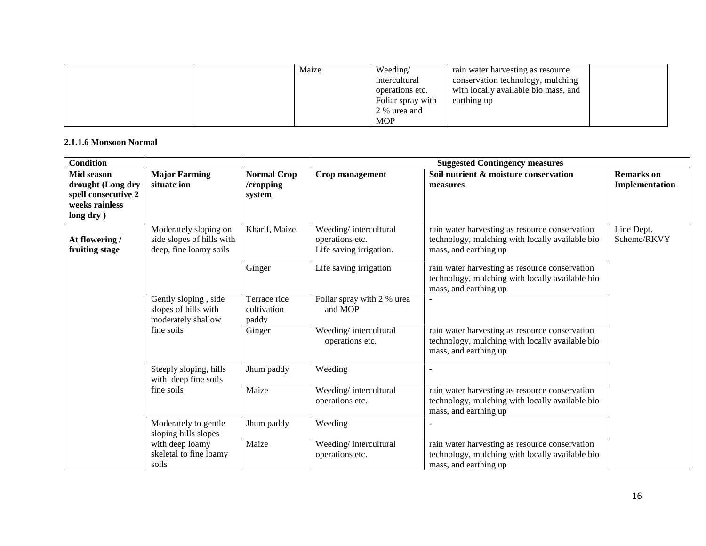|  | Maize | Weeding/          | rain water harvesting as resource    |  |
|--|-------|-------------------|--------------------------------------|--|
|  |       | intercultural     | conservation technology, mulching    |  |
|  |       | operations etc.   | with locally available bio mass, and |  |
|  |       | Foliar spray with | earthing up                          |  |
|  |       | 2 % urea and      |                                      |  |
|  |       | <b>MOP</b>        |                                      |  |

#### **2.1.1.6 Monsoon Normal**

| <b>Condition</b>                                                                                         |                                                                              |                                           | <b>Suggested Contingency measures</b>                               |                                                                                                                            |                                     |  |
|----------------------------------------------------------------------------------------------------------|------------------------------------------------------------------------------|-------------------------------------------|---------------------------------------------------------------------|----------------------------------------------------------------------------------------------------------------------------|-------------------------------------|--|
| <b>Mid season</b><br>drought (Long dry<br>spell consecutive 2<br>weeks rainless<br>long $\mathbf{dry}$ ) | <b>Major Farming</b><br>situate ion                                          | <b>Normal Crop</b><br>/cropping<br>system | Crop management                                                     | Soil nutrient & moisture conservation<br>measures                                                                          | <b>Remarks</b> on<br>Implementation |  |
| At flowering /<br>fruiting stage                                                                         | Moderately sloping on<br>side slopes of hills with<br>deep, fine loamy soils | Kharif, Maize,                            | Weeding/intercultural<br>operations etc.<br>Life saving irrigation. | rain water harvesting as resource conservation<br>technology, mulching with locally available bio<br>mass, and earthing up | Line Dept.<br>Scheme/RKVY           |  |
|                                                                                                          |                                                                              | Ginger                                    | Life saving irrigation                                              | rain water harvesting as resource conservation<br>technology, mulching with locally available bio<br>mass, and earthing up |                                     |  |
|                                                                                                          | Gently sloping, side<br>slopes of hills with<br>moderately shallow           | Terrace rice<br>cultivation<br>paddy      | Foliar spray with 2 % urea<br>and MOP                               |                                                                                                                            |                                     |  |
|                                                                                                          | fine soils                                                                   | Ginger                                    | Weeding/intercultural<br>operations etc.                            | rain water harvesting as resource conservation<br>technology, mulching with locally available bio<br>mass, and earthing up |                                     |  |
|                                                                                                          | Steeply sloping, hills<br>with deep fine soils                               | Jhum paddy                                | Weeding                                                             |                                                                                                                            |                                     |  |
|                                                                                                          | fine soils                                                                   | Maize                                     | Weeding/intercultural<br>operations etc.                            | rain water harvesting as resource conservation<br>technology, mulching with locally available bio<br>mass, and earthing up |                                     |  |
|                                                                                                          | Moderately to gentle<br>sloping hills slopes                                 | Jhum paddy                                | Weeding                                                             |                                                                                                                            |                                     |  |
|                                                                                                          | with deep loamy<br>skeletal to fine loamy<br>soils                           | Maize                                     | Weeding/intercultural<br>operations etc.                            | rain water harvesting as resource conservation<br>technology, mulching with locally available bio<br>mass, and earthing up |                                     |  |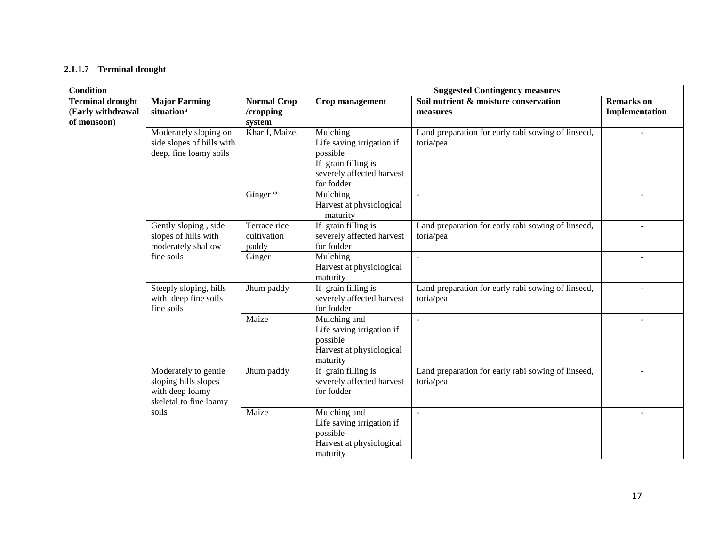## **2.1.1.7 Terminal drought**

| <b>Condition</b>                                            |                                                                                           |                                           | <b>Suggested Contingency measures</b>                                                                               |                                                                 |                                     |  |
|-------------------------------------------------------------|-------------------------------------------------------------------------------------------|-------------------------------------------|---------------------------------------------------------------------------------------------------------------------|-----------------------------------------------------------------|-------------------------------------|--|
| <b>Terminal drought</b><br>(Early withdrawal<br>of monsoon) | <b>Major Farming</b><br>situation <sup>a</sup>                                            | <b>Normal Crop</b><br>/cropping<br>system | Crop management                                                                                                     | Soil nutrient & moisture conservation<br>measures               | <b>Remarks</b> on<br>Implementation |  |
|                                                             | Moderately sloping on<br>side slopes of hills with<br>deep, fine loamy soils              | Kharif, Maize,                            | Mulching<br>Life saving irrigation if<br>possible<br>If grain filling is<br>severely affected harvest<br>for fodder | Land preparation for early rabi sowing of linseed,<br>toria/pea |                                     |  |
|                                                             |                                                                                           | Ginger *                                  | Mulching<br>Harvest at physiological<br>maturity                                                                    | $\overline{a}$                                                  |                                     |  |
|                                                             | Gently sloping, side<br>slopes of hills with<br>moderately shallow                        | Terrace rice<br>cultivation<br>paddy      | If grain filling is<br>severely affected harvest<br>for fodder                                                      | Land preparation for early rabi sowing of linseed,<br>toria/pea | $\overline{a}$                      |  |
|                                                             | fine soils                                                                                | Ginger                                    | Mulching<br>Harvest at physiological<br>maturity                                                                    | $\blacksquare$                                                  |                                     |  |
|                                                             | Steeply sloping, hills<br>with deep fine soils<br>fine soils                              | Jhum paddy                                | If grain filling is<br>severely affected harvest<br>for fodder                                                      | Land preparation for early rabi sowing of linseed,<br>toria/pea |                                     |  |
|                                                             |                                                                                           | Maize                                     | Mulching and<br>Life saving irrigation if<br>possible<br>Harvest at physiological<br>maturity                       |                                                                 |                                     |  |
|                                                             | Moderately to gentle<br>sloping hills slopes<br>with deep loamy<br>skeletal to fine loamy | Jhum paddy                                | If grain filling is<br>severely affected harvest<br>for fodder                                                      | Land preparation for early rabi sowing of linseed,<br>toria/pea |                                     |  |
|                                                             | soils                                                                                     | Maize                                     | Mulching and<br>Life saving irrigation if<br>possible<br>Harvest at physiological<br>maturity                       | $\overline{a}$                                                  |                                     |  |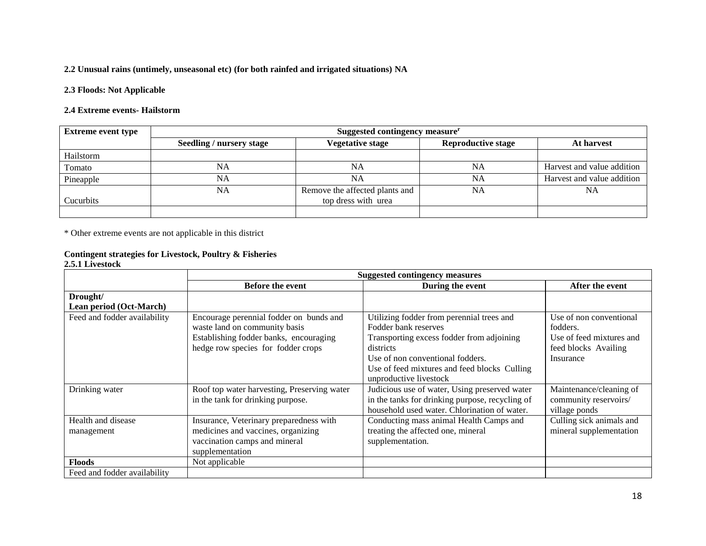## **2.2 Unusual rains (untimely, unseasonal etc) (for both rainfed and irrigated situations) NA**

#### **2.3 Floods: Not Applicable**

#### **2.4 Extreme events- Hailstorm**

| <b>Extreme event type</b> | Suggested contingency measure <sup>r</sup> |                                |                           |                            |
|---------------------------|--------------------------------------------|--------------------------------|---------------------------|----------------------------|
|                           | Seedling / nursery stage                   | Vegetative stage               | <b>Reproductive stage</b> | At harvest                 |
| Hailstorm                 |                                            |                                |                           |                            |
| Tomato                    | NA                                         | NA                             | NA                        | Harvest and value addition |
| Pineapple                 | NA                                         | <b>NA</b>                      | NA                        | Harvest and value addition |
|                           | NA                                         | Remove the affected plants and | NA                        | <b>NA</b>                  |
| Cucurbits                 |                                            | top dress with urea            |                           |                            |
|                           |                                            |                                |                           |                            |

\* Other extreme events are not applicable in this district

## **Contingent strategies for Livestock, Poultry & Fisheries**

### **2.5.1 Livestock**

|                              | <b>Suggested contingency measures</b>       |                                                 |                          |  |
|------------------------------|---------------------------------------------|-------------------------------------------------|--------------------------|--|
|                              | Before the event                            | During the event                                | After the event          |  |
| Drought/                     |                                             |                                                 |                          |  |
| Lean period (Oct-March)      |                                             |                                                 |                          |  |
| Feed and fodder availability | Encourage perennial fodder on bunds and     | Utilizing fodder from perennial trees and       | Use of non conventional  |  |
|                              | waste land on community basis               | Fodder bank reserves                            | fodders.                 |  |
|                              | Establishing fodder banks, encouraging      | Transporting excess fodder from adjoining       | Use of feed mixtures and |  |
|                              | hedge row species for fodder crops          | districts                                       | feed blocks Availing     |  |
|                              |                                             | Use of non conventional fodders.                | Insurance                |  |
|                              |                                             | Use of feed mixtures and feed blocks Culling    |                          |  |
|                              |                                             | unproductive livestock                          |                          |  |
| Drinking water               | Roof top water harvesting, Preserving water | Judicious use of water, Using preserved water   | Maintenance/cleaning of  |  |
|                              | in the tank for drinking purpose.           | in the tanks for drinking purpose, recycling of | community reservoirs/    |  |
|                              |                                             | household used water. Chlorination of water.    | village ponds            |  |
| Health and disease           | Insurance, Veterinary preparedness with     | Conducting mass animal Health Camps and         | Culling sick animals and |  |
| management                   | medicines and vaccines, organizing          | treating the affected one, mineral              | mineral supplementation  |  |
|                              | vaccination camps and mineral               | supplementation.                                |                          |  |
|                              | supplementation                             |                                                 |                          |  |
| <b>Floods</b>                | Not applicable                              |                                                 |                          |  |
| Feed and fodder availability |                                             |                                                 |                          |  |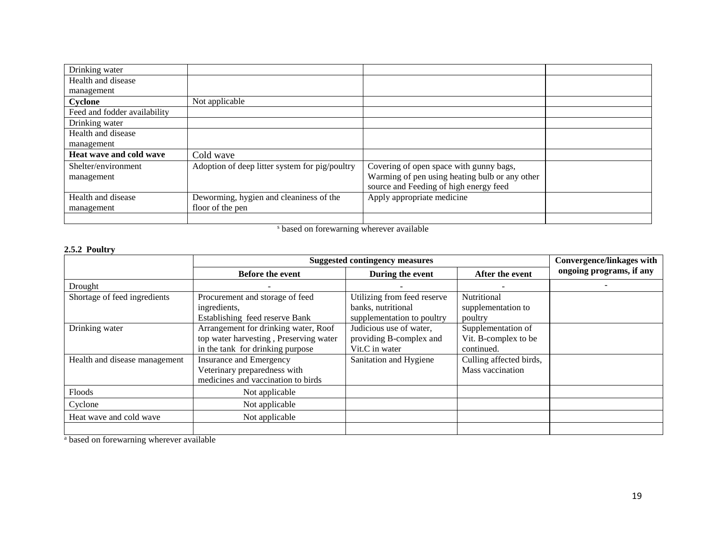| Drinking water               |                                                |                                                |  |
|------------------------------|------------------------------------------------|------------------------------------------------|--|
| Health and disease           |                                                |                                                |  |
| management                   |                                                |                                                |  |
| Cyclone                      | Not applicable                                 |                                                |  |
| Feed and fodder availability |                                                |                                                |  |
| Drinking water               |                                                |                                                |  |
| Health and disease           |                                                |                                                |  |
| management                   |                                                |                                                |  |
| Heat wave and cold wave      | Cold wave                                      |                                                |  |
| Shelter/environment          | Adoption of deep litter system for pig/poultry | Covering of open space with gunny bags,        |  |
| management                   |                                                | Warming of pen using heating bulb or any other |  |
|                              |                                                | source and Feeding of high energy feed         |  |
| Health and disease           | Deworming, hygien and cleaniness of the        | Apply appropriate medicine                     |  |
| management                   | floor of the pen                               |                                                |  |
|                              |                                                |                                                |  |

<sup>s</sup> based on forewarning wherever available

## **2.5.2 Poultry**

|                               | <b>Suggested contingency measures</b>  | <b>Convergence/linkages with</b> |                         |                          |
|-------------------------------|----------------------------------------|----------------------------------|-------------------------|--------------------------|
|                               | <b>Before the event</b>                | During the event                 | After the event         | ongoing programs, if any |
| Drought                       |                                        |                                  |                         |                          |
| Shortage of feed ingredients  | Procurement and storage of feed        | Utilizing from feed reserve      | Nutritional             |                          |
|                               | ingredients,                           | banks, nutritional               | supplementation to      |                          |
|                               | Establishing feed reserve Bank         | supplementation to poultry       | poultry                 |                          |
| Drinking water                | Arrangement for drinking water, Roof   | Judicious use of water,          | Supplementation of      |                          |
|                               | top water harvesting, Preserving water | providing B-complex and          | Vit. B-complex to be    |                          |
|                               | in the tank for drinking purpose       | Vit.C in water                   | continued.              |                          |
| Health and disease management | Insurance and Emergency                | Sanitation and Hygiene           | Culling affected birds, |                          |
|                               | Veterinary preparedness with           |                                  | Mass vaccination        |                          |
|                               | medicines and vaccination to birds     |                                  |                         |                          |
| Floods                        | Not applicable                         |                                  |                         |                          |
| Cyclone                       | Not applicable                         |                                  |                         |                          |
| Heat wave and cold wave       | Not applicable                         |                                  |                         |                          |
|                               |                                        |                                  |                         |                          |

<sup>a</sup> based on forewarning wherever available